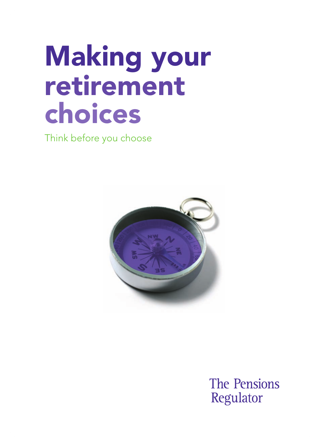# Making your retirement choices

Think before you choose



**The Pensions** Regulator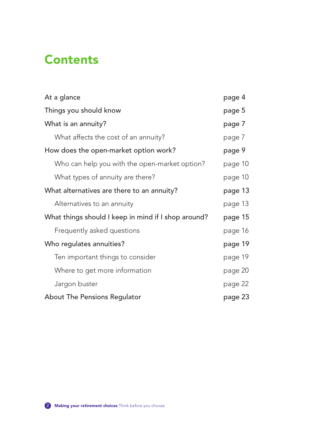### **Contents**

| At a glance                                         | page 4  |
|-----------------------------------------------------|---------|
| Things you should know                              | page 5  |
| What is an annuity?                                 | page 7  |
| What affects the cost of an annuity?                | page 7  |
| How does the open-market option work?               | page 9  |
| Who can help you with the open-market option?       | page 10 |
| What types of annuity are there?                    | page 10 |
| What alternatives are there to an annuity?          | page 13 |
| Alternatives to an annuity                          | page 13 |
| What things should I keep in mind if I shop around? | page 15 |
| Frequently asked questions                          | page 16 |
| Who regulates annuities?                            | page 19 |
| Ten important things to consider                    | page 19 |
| Where to get more information                       | page 20 |
| Jargon buster                                       | page 22 |
| About The Pensions Regulator                        | page 23 |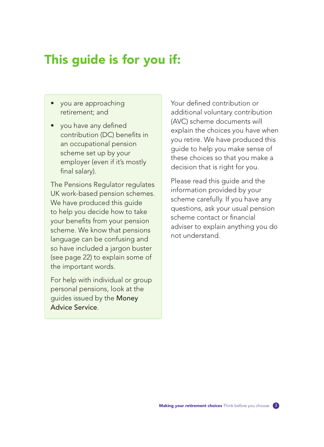# This guide is for you if:

- you are approaching retirement; and
- you have any defined contribution (DC) benefits in an occupational pension scheme set up by your employer (even if it's mostly final salary).

The Pensions Regulator regulates UK work-based pension schemes. We have produced this quide to help you decide how to take your benefits from your pension scheme. We know that pensions language can be confusing and so have included a jargon buster (see page 22) to explain some of the important words.

For help with individual or group personal pensions, look at the guides issued by the Money Advice Service.

Your defined contribution or additional voluntary contribution (AVC) scheme documents will explain the choices you have when you retire. We have produced this guide to help you make sense of these choices so that you make a decision that is right for you.

Please read this guide and the information provided by your scheme carefully. If you have any questions, ask your usual pension scheme contact or financial adviser to explain anything you do not understand.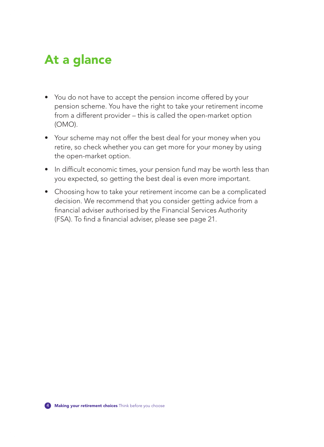# At a glance

- You do not have to accept the pension income offered by your pension scheme. You have the right to take your retirement income from a different provider – this is called the open-market option (OMO).
- Your scheme may not offer the best deal for your money when you retire, so check whether you can get more for your money by using the open-market option.
- In difficult economic times, your pension fund may be worth less than you expected, so getting the best deal is even more important.
- Choosing how to take your retirement income can be a complicated decision. We recommend that you consider getting advice from a financial adviser authorised by the Financial Services Authority (FSA). To find a financial adviser, please see page 21.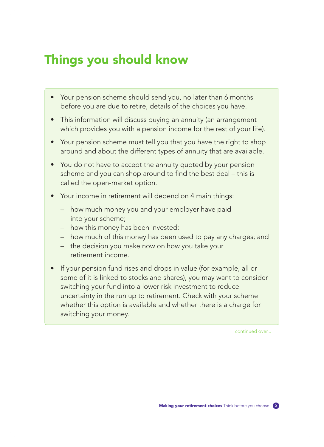# Things you should know

- Your pension scheme should send you, no later than 6 months before you are due to retire, details of the choices you have.
- This information will discuss buying an annuity (an arrangement which provides you with a pension income for the rest of your life).
- Your pension scheme must tell you that you have the right to shop around and about the different types of annuity that are available.
- You do not have to accept the annuity quoted by your pension scheme and you can shop around to find the best deal – this is called the open-market option.
- Your income in retirement will depend on 4 main things:
	- how much money you and your employer have paid into your scheme;
	- how this money has been invested;
	- how much of this money has been used to pay any charges; and
	- the decision you make now on how you take your retirement income.
- If your pension fund rises and drops in value (for example, all or some of it is linked to stocks and shares), you may want to consider switching your fund into a lower risk investment to reduce uncertainty in the run up to retirement. Check with your scheme whether this option is available and whether there is a charge for switching your money.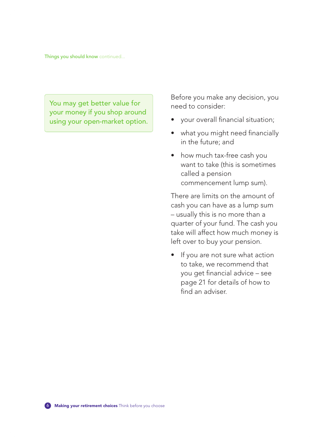Things you should know continued...

You may get better value for your money if you shop around using your open-market option. Before you make any decision, you need to consider:

- your overall financial situation;
- what you might need financially in the future; and
- how much tax-free cash you want to take (this is sometimes called a pension commencement lump sum).

There are limits on the amount of cash you can have as a lump sum – usually this is no more than a quarter of your fund. The cash you take will affect how much money is left over to buy your pension.

• If you are not sure what action to take, we recommend that you get financial advice – see page 21 for details of how to find an adviser.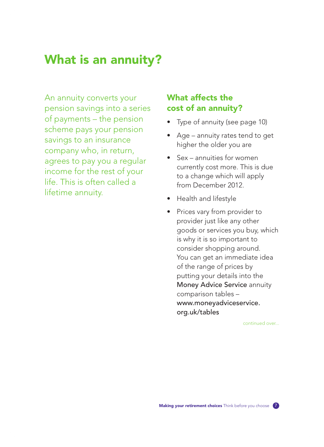# What is an annuity?

An annuity converts your pension savings into a series of payments – the pension scheme pays your pension savings to an insurance company who, in return, agrees to pay you a regular income for the rest of your life. This is often called a lifetime annuity.

### What affects the cost of an annuity?

- Type of annuity (see page 10)
- Age annuity rates tend to get higher the older you are
- Sex annuities for women currently cost more. This is due to a change which will apply from December 2012.
- Health and lifestyle
- Prices vary from provider to provider just like any other goods or services you buy, which is why it is so important to consider shopping around. You can get an immediate idea of the range of prices by putting your details into the Money Advice Service annuity comparison tables – www.moneyadviceservice. org.uk/tables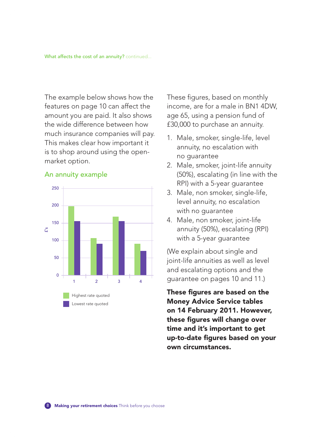The example below shows how the features on page 10 can affect the amount you are paid. It also shows the wide difference between how much insurance companies will pay. This makes clear how important it is to shop around using the openmarket option.

#### An annuity example



These figures, based on monthly income, are for a male in BN1 4DW, age 65, using a pension fund of £30,000 to purchase an annuity.

- 1. Male, smoker, single-life, level annuity, no escalation with no guarantee
- 2. Male, smoker, joint-life annuity (50%), escalating (in line with the RPI) with a 5-year guarantee
- 3. Male, non smoker, single-life, level annuity, no escalation with no guarantee
- 4. Male, non smoker, joint-life annuity (50%), escalating (RPI) with a 5-year guarantee

(We explain about single and joint-life annuities as well as level and escalating options and the guarantee on pages 10 and 11.)

These figures are based on the Money Advice Service tables on 14 February 2011. However, these figures will change over time and it's important to get up-to-date figures based on your own circumstances.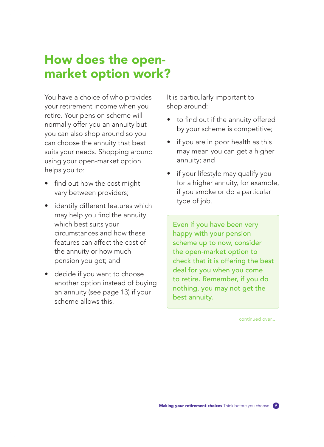## How does the openmarket option work?

You have a choice of who provides your retirement income when you retire. Your pension scheme will normally offer you an annuity but you can also shop around so you can choose the annuity that best suits your needs. Shopping around using your open-market option helps you to:

- find out how the cost might vary between providers;
- identify different features which may help you find the annuity which best suits your circumstances and how these features can affect the cost of the annuity or how much pension you get; and
- decide if you want to choose another option instead of buying an annuity (see page 13) if your scheme allows this.

It is particularly important to shop around:

- to find out if the annuity offered by your scheme is competitive;
- if you are in poor health as this may mean you can get a higher annuity; and
- if your lifestyle may qualify you for a higher annuity, for example, if you smoke or do a particular type of job.

Even if you have been very happy with your pension scheme up to now, consider the open-market option to check that it is offering the best deal for you when you come to retire. Remember, if you do nothing, you may not get the best annuity.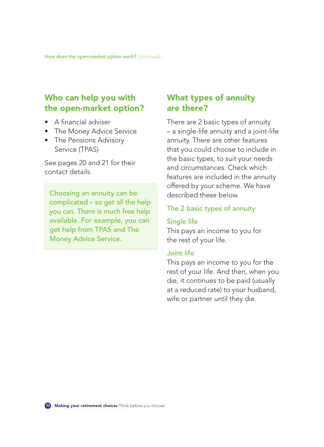How does the open-market option work? continued...

### Who can help you with the open-market option?

- A financial adviser
- The Money Advice Service
- The Pensions Advisory Service (TPAS)

See pages 20 and 21 for their contact details.

Choosing an annuity can be complicated – so get all the help you can. There is much free help available. For example, you can get help from TPAS and The Money Advice Service.

### What types of annuity are there?

There are 2 basic types of annuity – a single-life annuity and a joint-life annuity. There are other features that you could choose to include in the basic types, to suit your needs and circumstances. Check which features are included in the annuity offered by your scheme. We have described these below.

#### The 2 basic types of annuity

#### Single life

This pays an income to you for the rest of your life.

#### Joint life

This pays an income to you for the rest of your life. And then, when you die, it continues to be paid (usually at a reduced rate) to your husband, wife or partner until they die.

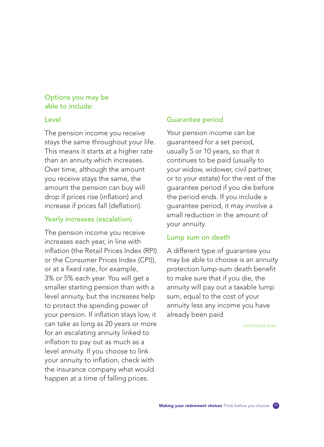#### Options you may be able to include:

#### Level

The pension income you receive stays the same throughout your life. This means it starts at a higher rate than an annuity which increases. Over time, although the amount you receive stays the same, the amount the pension can buy will drop if prices rise (inflation) and increase if prices fall (deflation).

#### Yearly increases (escalation)

The pension income you receive increases each year, in line with inflation (the Retail Prices Index (RPI) or the Consumer Prices Index (CPI)), or at a fixed rate, for example, 3% or 5% each year. You will get a smaller starting pension than with a level annuity, but the increases help to protect the spending power of your pension. If inflation stays low, it can take as long as 20 years or more for an escalating annuity linked to inflation to pay out as much as a level annuity. If you choose to link your annuity to inflation, check with the insurance company what would happen at a time of falling prices.

#### Guarantee period

Your pension income can be guaranteed for a set period, usually 5 or 10 years, so that it continues to be paid (usually to your widow, widower, civil partner, or to your estate) for the rest of the guarantee period if you die before the period ends. If you include a guarantee period, it may involve a small reduction in the amount of your annuity.

#### Lump sum on death

A different type of guarantee you may be able to choose is an annuity protection lump-sum death benefit to make sure that if you die, the annuity will pay out a taxable lump sum, equal to the cost of your annuity less any income you have already been paid.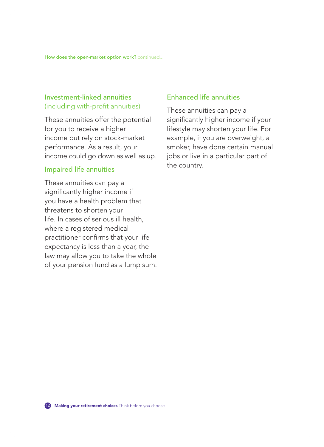How does the open-market option work? continued...

#### Investment-linked annuities (including with-profit annuities)

These annuities offer the potential for you to receive a higher income but rely on stock-market performance. As a result, your income could go down as well as up.

#### Impaired life annuities

These annuities can pay a significantly higher income if you have a health problem that threatens to shorten your life. In cases of serious ill health, where a registered medical practitioner confirms that your life expectancy is less than a year, the law may allow you to take the whole of your pension fund as a lump sum.

#### Enhanced life annuities

These annuities can pay a significantly higher income if your lifestyle may shorten your life. For example, if you are overweight, a smoker, have done certain manual jobs or live in a particular part of the country.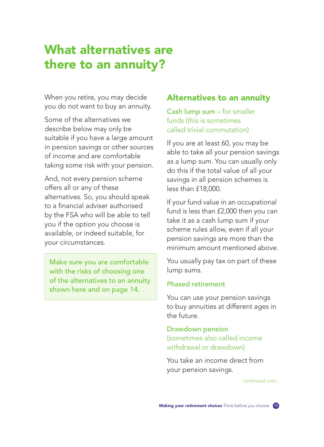# What alternatives are there to an annuity?

When you retire, you may decide you do not want to buy an annuity.

Some of the alternatives we describe below may only be suitable if you have a large amount in pension savings or other sources of income and are comfortable taking some risk with your pension.

And, not every pension scheme offers all or any of these alternatives. So, you should speak to a financial adviser authorised by the FSA who will be able to tell you if the option you choose is available, or indeed suitable, for your circumstances.

Make sure you are comfortable with the risks of choosing one of the alternatives to an annuity shown here and on page 14.

#### Alternatives to an annuity

Cash lump sum – for smaller funds (this is sometimes called trivial commutation)

If you are at least 60, you may be able to take all your pension savings as a lump sum. You can usually only do this if the total value of all your savings in all pension schemes is less than £18,000.

If your fund value in an occupational fund is less than £2,000 then you can take it as a cash lump sum if your scheme rules allow, even if all your pension savings are more than the minimum amount mentioned above.

You usually pay tax on part of these lump sums.

#### Phased retirement

You can use your pension savings to buy annuities at different ages in the future.

#### Drawdown pension (sometimes also called income withdrawal or drawdown)

You take an income direct from your pension savings.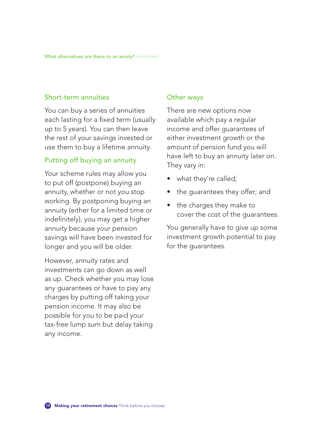#### Short-term annuities

You can buy a series of annuities each lasting for a fixed term (usually up to 5 years). You can then leave the rest of your savings invested or use them to buy a lifetime annuity.

#### Putting off buying an annuity

Your scheme rules may allow you to put off (postpone) buying an annuity, whether or not you stop working. By postponing buying an annuity (either for a limited time or indefinitely), you may get a higher annuity because your pension savings will have been invested for longer and you will be older.

However, annuity rates and investments can go down as well as up. Check whether you may lose any guarantees or have to pay any charges by putting off taking your pension income. It may also be possible for you to be paid your tax-free lump sum but delay taking any income.

#### Other ways

There are new options now available which pay a regular income and offer guarantees of either investment growth or the amount of pension fund you will have left to buy an annuity later on. They vary in:

- what they're called;
- the guarantees they offer; and
- the charges they make to cover the cost of the guarantees.

You generally have to give up some investment growth potential to pay for the guarantees.

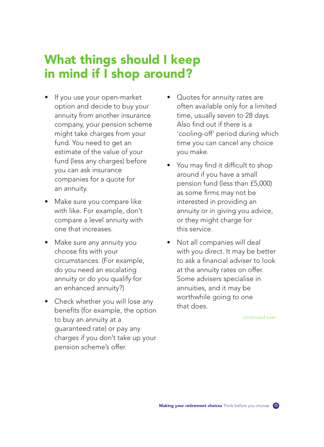# What things should I keep in mind if I shop around?

- If you use your open-market option and decide to buy your annuity from another insurance company, your pension scheme might take charges from your fund. You need to get an estimate of the value of your fund (less any charges) before you can ask insurance companies for a quote for an annuity.
- Make sure you compare like with like. For example, don't compare a level annuity with one that increases.
- Make sure any annuity you choose fits with your circumstances. (For example, do you need an escalating annuity or do you qualify for an enhanced annuity?)
- Check whether you will lose any benefits (for example, the option to buy an annuity at a guaranteed rate) or pay any charges if you don't take up your pension scheme's offer.
- Quotes for annuity rates are often available only for a limited time, usually seven to 28 days. Also find out if there is a 'cooling-off' period during which time you can cancel any choice you make.
- You may find it difficult to shop around if you have a small pension fund (less than £5,000) as some firms may not be interested in providing an annuity or in giving you advice, or they might charge for this service.
- Not all companies will deal with you direct. It may be better to ask a financial adviser to look at the annuity rates on offer. Some advisers specialise in annuities, and it may be worthwhile going to one that does.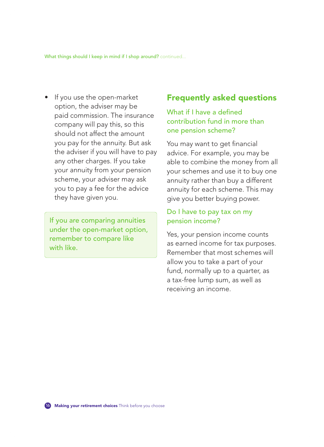What things should I keep in mind if I shop around? continued...

• If you use the open-market option, the adviser may be paid commission. The insurance company will pay this, so this should not affect the amount you pay for the annuity. But ask the adviser if you will have to pay any other charges. If you take your annuity from your pension scheme, your adviser may ask you to pay a fee for the advice they have given you.

If you are comparing annuities under the open-market option, remember to compare like with like.

### Frequently asked questions

#### What if I have a defined contribution fund in more than one pension scheme?

You may want to get financial advice. For example, you may be able to combine the money from all your schemes and use it to buy one annuity rather than buy a different annuity for each scheme. This may give you better buying power.

#### Do I have to pay tax on my pension income?

Yes, your pension income counts as earned income for tax purposes. Remember that most schemes will allow you to take a part of your fund, normally up to a quarter, as a tax-free lump sum, as well as receiving an income.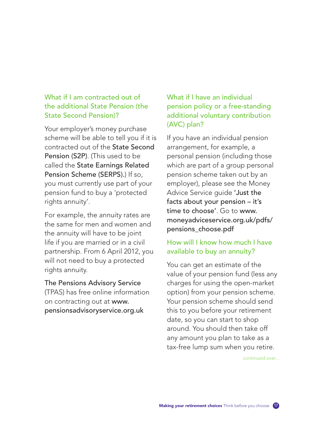#### What if I am contracted out of the additional State Pension (the State Second Pension)?

Your employer's money purchase scheme will be able to tell you if it is contracted out of the State Second Pension (S2P). (This used to be called the State Earnings Related Pension Scheme (SERPS).) If so, you must currently use part of your pension fund to buy a 'protected rights annuity'.

For example, the annuity rates are the same for men and women and the annuity will have to be joint life if you are married or in a civil partnership. From 6 April 2012, you will not need to buy a protected rights annuity.

The Pensions Advisory Service (TPAS) has free online information on contracting out at www. pensionsadvisoryservice.org.uk

What if I have an individual pension policy or a free-standing additional voluntary contribution (AVC) plan?

If you have an individual pension arrangement, for example, a personal pension (including those which are part of a group personal pension scheme taken out by an employer), please see the Money Advice Service guide 'Just the facts about your pension – it's time to choose'. Go to www. moneyadviceservice.org.uk/pdfs/ pensions\_choose.pdf

#### How will I know how much I have available to buy an annuity?

You can get an estimate of the value of your pension fund (less any charges for using the open-market option) from your pension scheme. Your pension scheme should send this to you before your retirement date, so you can start to shop around. You should then take off any amount you plan to take as a tax-free lump sum when you retire.

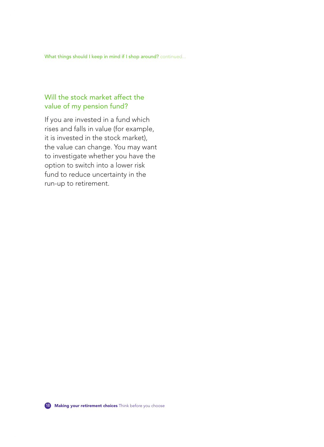What things should I keep in mind if I shop around? continued...

### Will the stock market affect the value of my pension fund?

If you are invested in a fund which rises and falls in value (for example, it is invested in the stock market), the value can change. You may want to investigate whether you have the option to switch into a lower risk fund to reduce uncertainty in the run-up to retirement.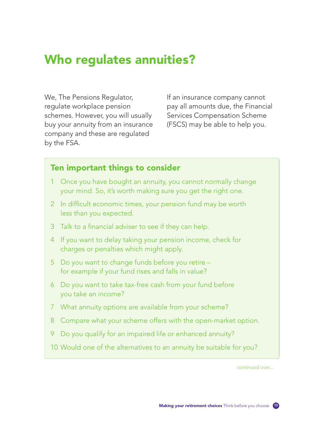# Who regulates annuities?

We, The Pensions Regulator, regulate workplace pension schemes. However, you will usually buy your annuity from an insurance company and these are regulated by the FSA.

If an insurance company cannot pay all amounts due, the Financial Services Compensation Scheme (FSCS) may be able to help you.

### Ten important things to consider

- 1 Once you have bought an annuity, you cannot normally change your mind. So, it's worth making sure you get the right one.
- 2 In difficult economic times, your pension fund may be worth less than you expected.
- 3 Talk to a financial adviser to see if they can help.
- 4 If you want to delay taking your pension income, check for charges or penalties which might apply.
- 5 Do you want to change funds before you retire for example if your fund rises and falls in value?
- 6 Do you want to take tax-free cash from your fund before you take an income?
- 7 What annuity options are available from your scheme?
- 8 Compare what your scheme offers with the open-market option.
- 9 Do you qualify for an impaired life or enhanced annuity?
- 10 Would one of the alternatives to an annuity be suitable for you?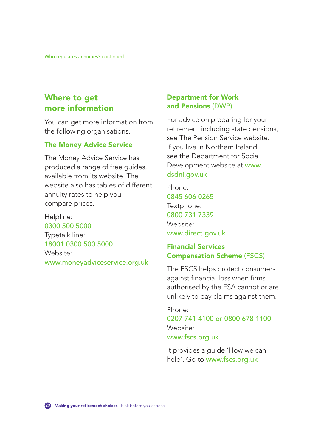### Where to get more information

You can get more information from the following organisations.

#### The Money Advice Service

The Money Advice Service has produced a range of free guides, available from its website. The website also has tables of different annuity rates to help you compare prices.

Helpline: 0300 500 5000

Typetalk line: 18001 0300 500 5000 Website: www.moneyadviceservice.org.uk

#### Department for Work and Pensions (DWP)

For advice on preparing for your retirement including state pensions, see The Pension Service website. If you live in Northern Ireland, see the Department for Social Development website at www. dsdni.gov.uk

Phone: 0845 606 0265 Textphone: 0800 731 7339 Website: www.direct.gov.uk

#### Financial Services Compensation Scheme (FSCS)

The FSCS helps protect consumers against financial loss when firms authorised by the FSA cannot or are unlikely to pay claims against them.

Phone: 0207 741 4100 or 0800 678 1100 Website: www.fscs.org.uk

It provides a guide 'How we can help'. Go to www.fscs.org.uk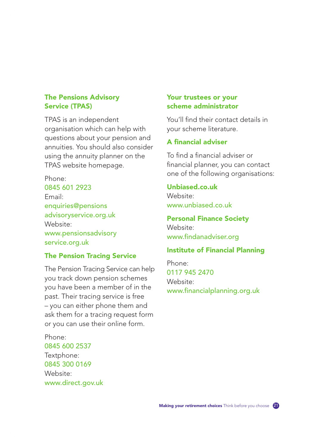#### The Pensions Advisory Service (TPAS)

TPAS is an independent organisation which can help with questions about your pension and annuities. You should also consider using the annuity planner on the TPAS website homepage.

Phone:

0845 601 2923 Email: enquiries@pensions advisoryservice.org.uk Website: www.pensionsadvisory service.org.uk

#### The Pension Tracing Service

The Pension Tracing Service can help you track down pension schemes you have been a member of in the past. Their tracing service is free – you can either phone them and ask them for a tracing request form or you can use their online form.

Phone: 0845 600 2537 Textphone: 0845 300 0169 Website: www.direct.gov.uk

#### Your trustees or your scheme administrator

You'll find their contact details in your scheme literature.

#### A financial adviser

To find a financial adviser or financial planner, you can contact one of the following organisations:

#### Unbiased.co.uk

Website: www.unbiased.co.uk

#### Personal Finance Society Website:

www.findanadviser.org

#### Institute of Financial Planning

Phone: 0117 945 2470 Website: www.financialplanning.org.uk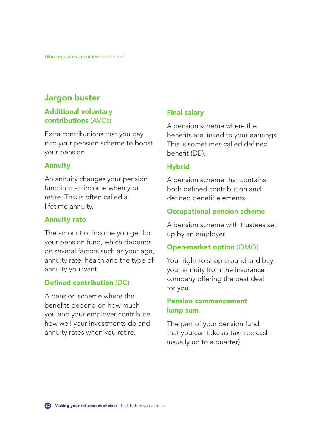### Jargon buster

#### Additional voluntary contributions (AVCs)

Extra contributions that you pay into your pension scheme to boost your pension.

#### Annuity

An annuity changes your pension fund into an income when you retire. This is often called a lifetime annuity.

#### Annuity rate

The amount of income you get for your pension fund, which depends on several factors such as your age, annuity rate, health and the type of annuity you want.

#### Defined contribution (DC)

A pension scheme where the benefits depend on how much you and your employer contribute, how well your investments do and annuity rates when you retire.

#### Final salary

A pension scheme where the benefits are linked to your earnings. This is sometimes called defined benefit (DB).

#### **Hybrid**

A pension scheme that contains both defined contribution and defined benefit elements.

#### Occupational pension scheme

A pension scheme with trustees set up by an employer.

#### Open-market option (OMO)

Your right to shop around and buy your annuity from the insurance company offering the best deal for you.

#### Pension commencement lump sum

The part of your pension fund that you can take as tax-free cash (usually up to a quarter).